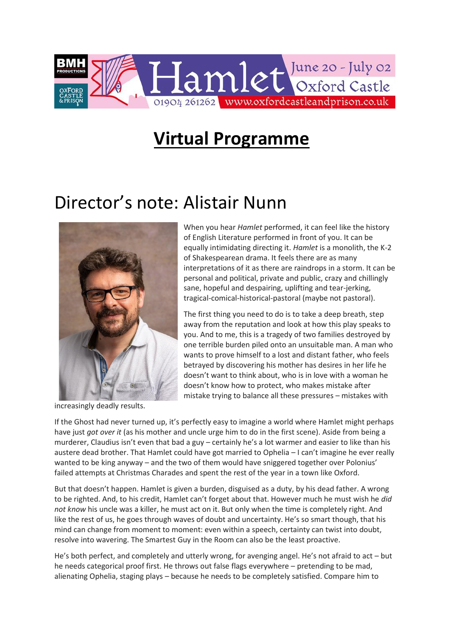

# **Virtual Programme**

# Director's note: Alistair Nunn



increasingly deadly results.

When you hear *Hamlet* performed, it can feel like the history of English Literature performed in front of you. It can be equally intimidating directing it. *Hamlet* is a monolith, the K-2 of Shakespearean drama. It feels there are as many interpretations of it as there are raindrops in a storm. It can be personal and political, private and public, crazy and chillingly sane, hopeful and despairing, uplifting and tear-jerking, tragical-comical-historical-pastoral (maybe not pastoral).

The first thing you need to do is to take a deep breath, step away from the reputation and look at how this play speaks to you. And to me, this is a tragedy of two families destroyed by one terrible burden piled onto an unsuitable man. A man who wants to prove himself to a lost and distant father, who feels betrayed by discovering his mother has desires in her life he doesn't want to think about, who is in love with a woman he doesn't know how to protect, who makes mistake after mistake trying to balance all these pressures – mistakes with

If the Ghost had never turned up, it's perfectly easy to imagine a world where Hamlet might perhaps have just *got over it* (as his mother and uncle urge him to do in the first scene). Aside from being a murderer, Claudius isn't even that bad a guy – certainly he's a lot warmer and easier to like than his austere dead brother. That Hamlet could have got married to Ophelia – I can't imagine he ever really wanted to be king anyway – and the two of them would have sniggered together over Polonius' failed attempts at Christmas Charades and spent the rest of the year in a town like Oxford.

But that doesn't happen. Hamlet is given a burden, disguised as a duty, by his dead father. A wrong to be righted. And, to his credit, Hamlet can't forget about that. However much he must wish he *did not know* his uncle was a killer, he must act on it. But only when the time is completely right. And like the rest of us, he goes through waves of doubt and uncertainty. He's so smart though, that his mind can change from moment to moment: even within a speech, certainty can twist into doubt, resolve into wavering. The Smartest Guy in the Room can also be the least proactive.

He's both perfect, and completely and utterly wrong, for avenging angel. He's not afraid to act – but he needs categorical proof first. He throws out false flags everywhere – pretending to be mad, alienating Ophelia, staging plays – because he needs to be completely satisfied. Compare him to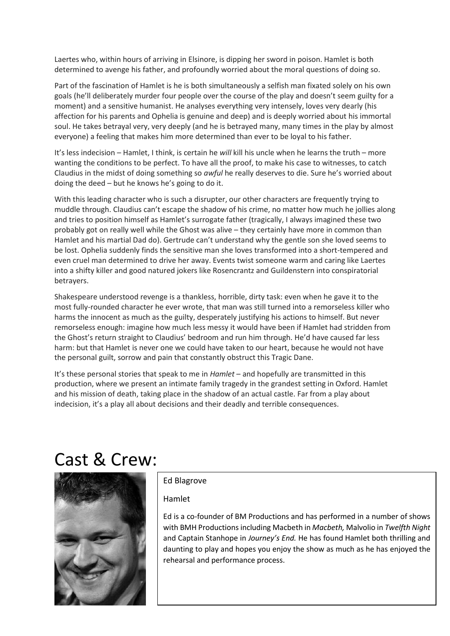Laertes who, within hours of arriving in Elsinore, is dipping her sword in poison. Hamlet is both determined to avenge his father, and profoundly worried about the moral questions of doing so.

Part of the fascination of Hamlet is he is both simultaneously a selfish man fixated solely on his own goals (he'll deliberately murder four people over the course of the play and doesn't seem guilty for a moment) and a sensitive humanist. He analyses everything very intensely, loves very dearly (his affection for his parents and Ophelia is genuine and deep) and is deeply worried about his immortal soul. He takes betrayal very, very deeply (and he is betrayed many, many times in the play by almost everyone) a feeling that makes him more determined than ever to be loyal to his father.

It's less indecision – Hamlet, I think, is certain he *will* kill his uncle when he learns the truth – more wanting the conditions to be perfect. To have all the proof, to make his case to witnesses, to catch Claudius in the midst of doing something so *awful* he really deserves to die. Sure he's worried about doing the deed – but he knows he's going to do it.

With this leading character who is such a disrupter, our other characters are frequently trying to muddle through. Claudius can't escape the shadow of his crime, no matter how much he jollies along and tries to position himself as Hamlet's surrogate father (tragically, I always imagined these two probably got on really well while the Ghost was alive – they certainly have more in common than Hamlet and his martial Dad do). Gertrude can't understand why the gentle son she loved seems to be lost. Ophelia suddenly finds the sensitive man she loves transformed into a short-tempered and even cruel man determined to drive her away. Events twist someone warm and caring like Laertes into a shifty killer and good natured jokers like Rosencrantz and Guildenstern into conspiratorial betrayers.

Shakespeare understood revenge is a thankless, horrible, dirty task: even when he gave it to the most fully-rounded character he ever wrote, that man was still turned into a remorseless killer who harms the innocent as much as the guilty, desperately justifying his actions to himself. But never remorseless enough: imagine how much less messy it would have been if Hamlet had stridden from the Ghost's return straight to Claudius' bedroom and run him through. He'd have caused far less harm: but that Hamlet is never one we could have taken to our heart, because he would not have the personal guilt, sorrow and pain that constantly obstruct this Tragic Dane.

It's these personal stories that speak to me in *Hamlet* – and hopefully are transmitted in this production, where we present an intimate family tragedy in the grandest setting in Oxford. Hamlet and his mission of death, taking place in the shadow of an actual castle. Far from a play about indecision, it's a play all about decisions and their deadly and terrible consequences.

# Cast & Crew:



# Ed Blagrove

## Hamlet

Ed is a co-founder of BM Productions and has performed in a number of shows with BMH Productions including Macbeth in *Macbeth,* Malvolio in *Twelfth Night* and Captain Stanhope in *Journey's End.* He has found Hamlet both thrilling and daunting to play and hopes you enjoy the show as much as he has enjoyed the rehearsal and performance process.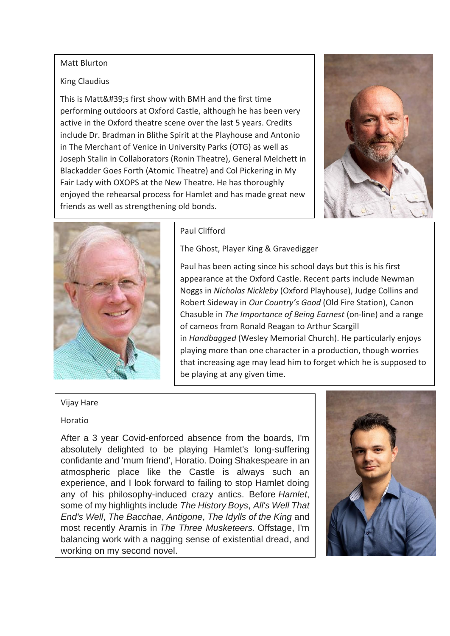#### Matt Blurton

# King Claudius

This is Matt's first show with BMH and the first time performing outdoors at Oxford Castle, although he has been very active in the Oxford theatre scene over the last 5 years. Credits include Dr. Bradman in Blithe Spirit at the Playhouse and Antonio in The Merchant of Venice in University Parks (OTG) as well as Joseph Stalin in Collaborators (Ronin Theatre), General Melchett in Blackadder Goes Forth (Atomic Theatre) and Col Pickering in My Fair Lady with OXOPS at the New Theatre. He has thoroughly enjoyed the rehearsal process for Hamlet and has made great new friends as well as strengthening old bonds.





# Paul Clifford

The Ghost, Player King & Gravedigger

Paul has been acting since his school days but this is his first appearance at the Oxford Castle. Recent parts include Newman Noggs in *Nicholas Nickleby* (Oxford Playhouse), Judge Collins and Robert Sideway in *Our Country's Good* (Old Fire Station), Canon Chasuble in *The Importance of Being Earnest* (on-line) and a range of cameos from Ronald Reagan to Arthur Scargill in *Handbagged* (Wesley Memorial Church). He particularly enjoys playing more than one character in a production, though worries that increasing age may lead him to forget which he is supposed to be playing at any given time.

# Vijay Hare

## Horatio

After a 3 year Covid-enforced absence from the boards, I'm absolutely delighted to be playing Hamlet's long-suffering confidante and 'mum friend', Horatio. Doing Shakespeare in an atmospheric place like the Castle is always such an experience, and I look forward to failing to stop Hamlet doing any of his philosophy-induced crazy antics. Before *Hamlet*, some of my highlights include *The History Boys*, *All's Well That End's Well*, *The Bacchae*, *Antigone*, *The Idylls of the King* and most recently Aramis in *The Three Musketeers.* Offstage, I'm balancing work with a nagging sense of existential dread, and working on my second novel.

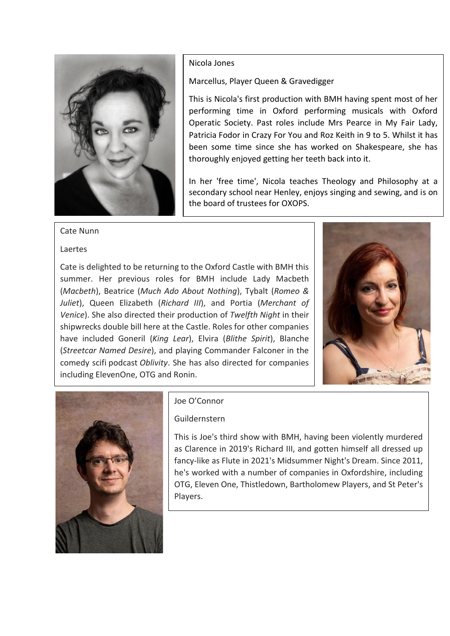

#### Nicola Jones

Marcellus, Player Queen & Gravedigger

This is Nicola's first production with BMH having spent most of her performing time in Oxford performing musicals with Oxford Operatic Society. Past roles include Mrs Pearce in My Fair Lady, Patricia Fodor in Crazy For You and Roz Keith in 9 to 5. Whilst it has been some time since she has worked on Shakespeare, she has thoroughly enjoyed getting her teeth back into it.

In her 'free time', Nicola teaches Theology and Philosophy at a secondary school near Henley, enjoys singing and sewing, and is on the board of trustees for OXOPS.

## Cate Nunn

#### Laertes

Cate is delighted to be returning to the Oxford Castle with BMH this summer. Her previous roles for BMH include Lady Macbeth (*Macbeth*), Beatrice (*Much Ado About Nothing*), Tybalt (*Romeo & Juliet*), Queen Elizabeth (*Richard III*), and Portia (*Merchant of Venice*). She also directed their production of *Twelfth Night* in their shipwrecks double bill here at the Castle. Roles for other companies have included Goneril (*King Lear*), Elvira (*Blithe Spirit*), Blanche (*Streetcar Named Desire*), and playing Commander Falconer in the comedy scifi podcast *Oblivity*. She has also directed for companies including ElevenOne, OTG and Ronin.





## Joe O'Connor

## Guildernstern

This is Joe's third show with BMH, having been violently murdered as Clarence in 2019's Richard III, and gotten himself all dressed up fancy-like as Flute in 2021's Midsummer Night's Dream. Since 2011, he's worked with a number of companies in Oxfordshire, including OTG, Eleven One, Thistledown, Bartholomew Players, and St Peter's Players.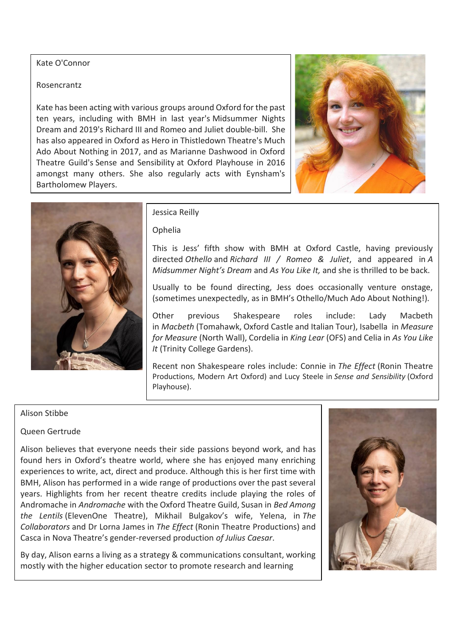# Kate O'Connor

# Rosencrantz

Kate has been acting with various groups around Oxford for the past ten years, including with BMH in last year's Midsummer Nights Dream and 2019's Richard III and Romeo and Juliet double-bill. She has also appeared in Oxford as Hero in Thistledown Theatre's Much Ado About Nothing in 2017, and as Marianne Dashwood in Oxford Theatre Guild's Sense and Sensibility at Oxford Playhouse in 2016 amongst many others. She also regularly acts with Eynsham's Bartholomew Players.





# Jessica Reilly

## Ophelia

This is Jess' fifth show with BMH at Oxford Castle, having previously directed *Othello* and *Richard III / Romeo & Juliet*, and appeared in *A Midsummer Night's Dream* and *As You Like It,* and she is thrilled to be back.

Usually to be found directing, Jess does occasionally venture onstage, (sometimes unexpectedly, as in BMH's Othello/Much Ado About Nothing!).

Other previous Shakespeare roles include: Lady Macbeth in *Macbeth* (Tomahawk, Oxford Castle and Italian Tour), Isabella in *Measure for Measure* (North Wall), Cordelia in *King Lear* (OFS) and Celia in *As You Like It* (Trinity College Gardens).

Recent non Shakespeare roles include: Connie in *The Effect* (Ronin Theatre Productions, Modern Art Oxford) and Lucy Steele in *Sense and Sensibility* (Oxford Playhouse).

# Alison Stibbe

# Queen Gertrude

Alison believes that everyone needs their side passions beyond work, and has found hers in Oxford's theatre world, where she has enjoyed many enriching experiences to write, act, direct and produce. Although this is her first time with BMH, Alison has performed in a wide range of productions over the past several years. Highlights from her recent theatre credits include playing the roles of Andromache in *Andromache* with the Oxford Theatre Guild, Susan in *Bed Among the Lentils* (ElevenOne Theatre), Mikhail Bulgakov's wife, Yelena, in *The Collaborators* and Dr Lorna James in *The Effect* (Ronin Theatre Productions) and Casca in Nova Theatre's gender-reversed production *of Julius Caesar*.

By day, Alison earns a living as a strategy & communications consultant, working mostly with the higher education sector to promote research and learning